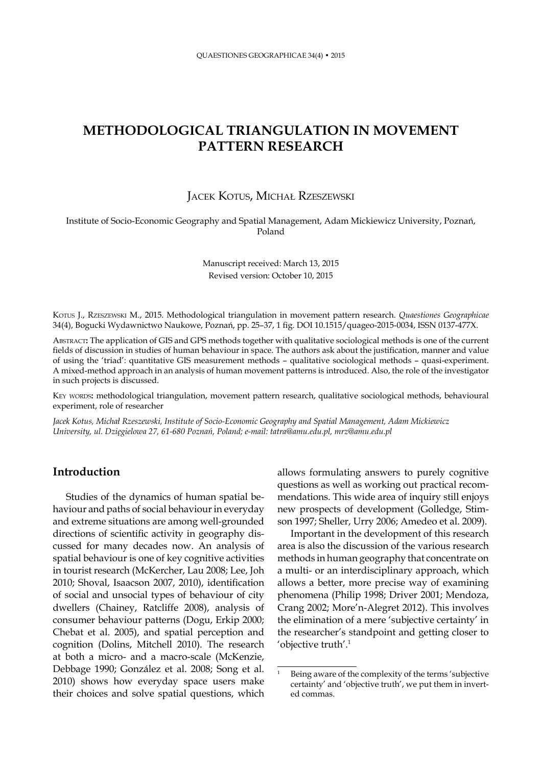# **METHODOLOGICAL TRIANGULATION IN MOVEMENT PATTERN RESEARCH**

### Jacek Kotus, Michał Rzeszewski

Institute of Socio-Economic Geography and Spatial Management, Adam Mickiewicz University, Poznań, Poland

> Manuscript received: March 13, 2015 Revised version: October 10, 2015

Kotus J., Rzeszewski M., 2015. Methodological triangulation in movement pattern research. *Quaestiones Geographicae*  34(4), Bogucki Wydawnictwo Naukowe, Poznań, pp. 25–37, 1 fig. DOI 10.1515/quageo-2015-0034, ISSN 0137-477X.

Abstract**:** The application of GIS and GPS methods together with qualitative sociological methods is one of the current fields of discussion in studies of human behaviour in space. The authors ask about the justification, manner and value of using the 'triad': quantitative GIS measurement methods – qualitative sociological methods – quasi-experiment. A mixed-method approach in an analysis of human movement patterns is introduced. Also, the role of the investigator in such projects is discussed.

KEY WORDS: methodological triangulation, movement pattern research, qualitative sociological methods, behavioural experiment, role of researcher

*Jacek Kotus, Michał Rzeszewski, Institute of Socio-Economic Geography and Spatial Management, Adam Mickiewicz University, ul. Dzięgielowa 27, 61-680 Poznań, Poland; e-mail: tatra@amu.edu.pl, mrz@amu.edu.pl*

## **Introduction**

Studies of the dynamics of human spatial behaviour and paths of social behaviour in everyday and extreme situations are among well-grounded directions of scientific activity in geography discussed for many decades now. An analysis of spatial behaviour is one of key cognitive activities in tourist research (McKercher, Lau 2008; Lee, Joh 2010; Shoval, Isaacson 2007, 2010), identification of social and unsocial types of behaviour of city dwellers (Chainey, Ratcliffe 2008), analysis of consumer behaviour patterns (Dogu, Erkip 2000; Chebat et al. 2005), and spatial perception and cognition (Dolins, Mitchell 2010). The research at both a micro- and a macro-scale (McKenzie, Debbage 1990; González et al. 2008; Song et al. 2010) shows how everyday space users make their choices and solve spatial questions, which

allows formulating answers to purely cognitive questions as well as working out practical recommendations. This wide area of inquiry still enjoys new prospects of development (Golledge, Stimson 1997; Sheller, Urry 2006; Amedeo et al. 2009).

Important in the development of this research area is also the discussion of the various research methods in human geography that concentrate on a multi- or an interdisciplinary approach, which allows a better, more precise way of examining phenomena (Philip 1998; Driver 2001; Mendoza, Crang 2002; More'n-Alegret 2012). This involves the elimination of a mere 'subjective certainty' in the researcher's standpoint and getting closer to 'objective truth'.1

<sup>1</sup> Being aware of the complexity of the terms 'subjective certainty' and 'objective truth', we put them in inverted commas.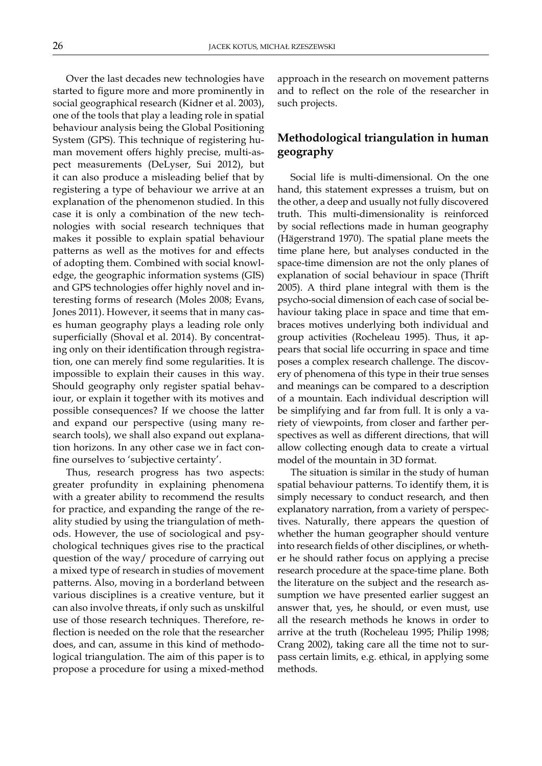Over the last decades new technologies have started to figure more and more prominently in social geographical research (Kidner et al. 2003), one of the tools that play a leading role in spatial behaviour analysis being the Global Positioning System (GPS). This technique of registering human movement offers highly precise, multi-aspect measurements (DeLyser, Sui 2012), but it can also produce a misleading belief that by registering a type of behaviour we arrive at an explanation of the phenomenon studied. In this case it is only a combination of the new technologies with social research techniques that makes it possible to explain spatial behaviour patterns as well as the motives for and effects of adopting them. Combined with social knowledge, the geographic information systems (GIS) and GPS technologies offer highly novel and interesting forms of research (Moles 2008; Evans, Jones 2011). However, it seems that in many cases human geography plays a leading role only superficially (Shoval et al. 2014). By concentrating only on their identification through registration, one can merely find some regularities. It is impossible to explain their causes in this way. Should geography only register spatial behaviour, or explain it together with its motives and possible consequences? If we choose the latter and expand our perspective (using many research tools), we shall also expand out explanation horizons. In any other case we in fact confine ourselves to 'subjective certainty'.

Thus, research progress has two aspects: greater profundity in explaining phenomena with a greater ability to recommend the results for practice, and expanding the range of the reality studied by using the triangulation of methods. However, the use of sociological and psychological techniques gives rise to the practical question of the way/ procedure of carrying out a mixed type of research in studies of movement patterns. Also, moving in a borderland between various disciplines is a creative venture, but it can also involve threats, if only such as unskilful use of those research techniques. Therefore, reflection is needed on the role that the researcher does, and can, assume in this kind of methodological triangulation. The aim of this paper is to propose a procedure for using a mixed-method approach in the research on movement patterns and to reflect on the role of the researcher in such projects.

## **Methodological triangulation in human geography**

Social life is multi-dimensional. On the one hand, this statement expresses a truism, but on the other, a deep and usually not fully discovered truth. This multi-dimensionality is reinforced by social reflections made in human geography (Hägerstrand 1970). The spatial plane meets the time plane here, but analyses conducted in the space-time dimension are not the only planes of explanation of social behaviour in space (Thrift 2005). A third plane integral with them is the psycho-social dimension of each case of social behaviour taking place in space and time that embraces motives underlying both individual and group activities (Rocheleau 1995). Thus, it appears that social life occurring in space and time poses a complex research challenge. The discovery of phenomena of this type in their true senses and meanings can be compared to a description of a mountain. Each individual description will be simplifying and far from full. It is only a variety of viewpoints, from closer and farther perspectives as well as different directions, that will allow collecting enough data to create a virtual model of the mountain in 3D format.

The situation is similar in the study of human spatial behaviour patterns. To identify them, it is simply necessary to conduct research, and then explanatory narration, from a variety of perspectives. Naturally, there appears the question of whether the human geographer should venture into research fields of other disciplines, or whether he should rather focus on applying a precise research procedure at the space-time plane. Both the literature on the subject and the research assumption we have presented earlier suggest an answer that, yes, he should, or even must, use all the research methods he knows in order to arrive at the truth (Rocheleau 1995; Philip 1998; Crang 2002), taking care all the time not to surpass certain limits, e.g. ethical, in applying some methods.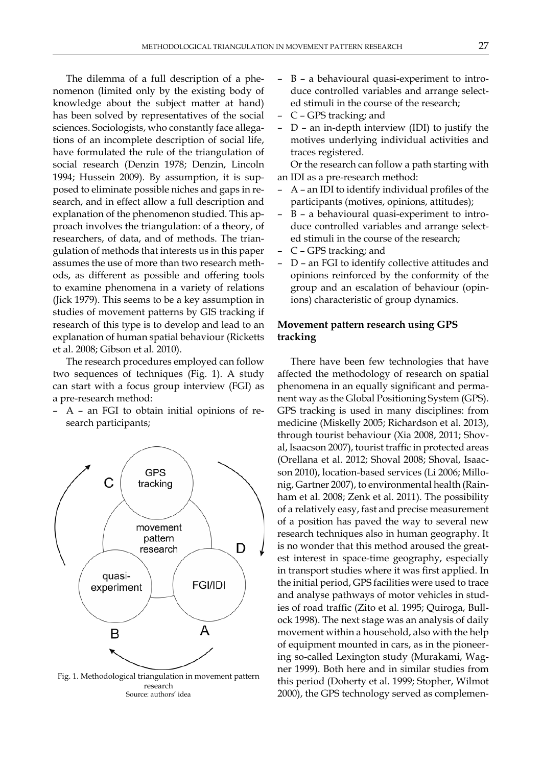The dilemma of a full description of a phenomenon (limited only by the existing body of knowledge about the subject matter at hand) has been solved by representatives of the social sciences. Sociologists, who constantly face allegations of an incomplete description of social life, have formulated the rule of the triangulation of social research (Denzin 1978; Denzin, Lincoln 1994; Hussein 2009). By assumption, it is supposed to eliminate possible niches and gaps in research, and in effect allow a full description and explanation of the phenomenon studied. This approach involves the triangulation: of a theory, of researchers, of data, and of methods. The triangulation of methods that interests us in this paper assumes the use of more than two research methods, as different as possible and offering tools to examine phenomena in a variety of relations (Jick 1979). This seems to be a key assumption in studies of movement patterns by GIS tracking if research of this type is to develop and lead to an explanation of human spatial behaviour (Ricketts et al. 2008; Gibson et al. 2010).

The research procedures employed can follow two sequences of techniques (Fig. 1). A study can start with a focus group interview (FGI) as a pre-research method:

– A – an FGI to obtain initial opinions of research participants;



Fig. 1. Methodological triangulation in movement pattern research Source: authors' idea

- B a behavioural quasi-experiment to introduce controlled variables and arrange selected stimuli in the course of the research;
- C GPS tracking; and
- D an in-depth interview (IDI) to justify the motives underlying individual activities and traces registered.

Or the research can follow a path starting with an IDI as a pre-research method:

- A an IDI to identify individual profiles of the participants (motives, opinions, attitudes);
- B a behavioural quasi-experiment to introduce controlled variables and arrange selected stimuli in the course of the research;
- C GPS tracking; and
- D an FGI to identify collective attitudes and opinions reinforced by the conformity of the group and an escalation of behaviour (opinions) characteristic of group dynamics.

## **Movement pattern research using GPS tracking**

There have been few technologies that have affected the methodology of research on spatial phenomena in an equally significant and permanent way as the Global Positioning System (GPS). GPS tracking is used in many disciplines: from medicine (Miskelly 2005; Richardson et al. 2013), through tourist behaviour (Xia 2008, 2011; Shoval, Isaacson 2007), tourist traffic in protected areas (Orellana et al. 2012; Shoval 2008; Shoval, Isaacson 2010), location-based services (Li 2006; Millonig, Gartner 2007), to environmental health (Rainham et al. 2008; Zenk et al. 2011). The possibility of a relatively easy, fast and precise measurement of a position has paved the way to several new research techniques also in human geography. It is no wonder that this method aroused the greatest interest in space-time geography, especially in transport studies where it was first applied. In the initial period, GPS facilities were used to trace and analyse pathways of motor vehicles in studies of road traffic (Zito et al. 1995; Quiroga, Bullock 1998). The next stage was an analysis of daily movement within a household, also with the help of equipment mounted in cars, as in the pioneering so-called Lexington study (Murakami, Wagner 1999). Both here and in similar studies from this period (Doherty et al. 1999; Stopher, Wilmot 2000), the GPS technology served as complemen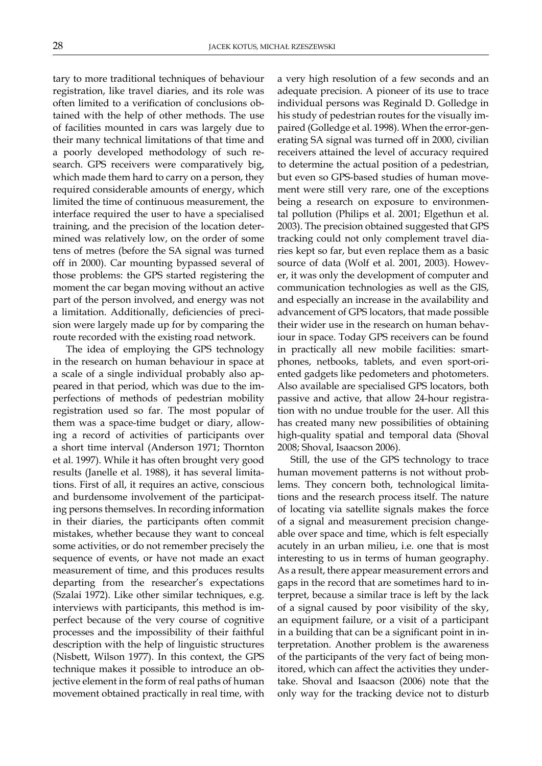tary to more traditional techniques of behaviour registration, like travel diaries, and its role was often limited to a verification of conclusions obtained with the help of other methods. The use of facilities mounted in cars was largely due to their many technical limitations of that time and a poorly developed methodology of such research. GPS receivers were comparatively big, which made them hard to carry on a person, they required considerable amounts of energy, which limited the time of continuous measurement, the interface required the user to have a specialised training, and the precision of the location determined was relatively low, on the order of some tens of metres (before the SA signal was turned off in 2000). Car mounting bypassed several of those problems: the GPS started registering the moment the car began moving without an active part of the person involved, and energy was not a limitation. Additionally, deficiencies of precision were largely made up for by comparing the route recorded with the existing road network.

The idea of employing the GPS technology in the research on human behaviour in space at a scale of a single individual probably also appeared in that period, which was due to the imperfections of methods of pedestrian mobility registration used so far. The most popular of them was a space-time budget or diary, allowing a record of activities of participants over a short time interval (Anderson 1971; Thornton et al. 1997). While it has often brought very good results (Janelle et al. 1988), it has several limitations. First of all, it requires an active, conscious and burdensome involvement of the participating persons themselves. In recording information in their diaries, the participants often commit mistakes, whether because they want to conceal some activities, or do not remember precisely the sequence of events, or have not made an exact measurement of time, and this produces results departing from the researcher's expectations (Szalai 1972). Like other similar techniques, e.g. interviews with participants, this method is imperfect because of the very course of cognitive processes and the impossibility of their faithful description with the help of linguistic structures (Nisbett, Wilson 1977). In this context, the GPS technique makes it possible to introduce an objective element in the form of real paths of human movement obtained practically in real time, with

a very high resolution of a few seconds and an adequate precision. A pioneer of its use to trace individual persons was Reginald D. Golledge in his study of pedestrian routes for the visually impaired (Golledge et al. 1998). When the error-generating SA signal was turned off in 2000, civilian receivers attained the level of accuracy required to determine the actual position of a pedestrian, but even so GPS-based studies of human movement were still very rare, one of the exceptions being a research on exposure to environmental pollution (Philips et al. 2001; Elgethun et al. 2003). The precision obtained suggested that GPS tracking could not only complement travel diaries kept so far, but even replace them as a basic source of data (Wolf et al. 2001, 2003). However, it was only the development of computer and communication technologies as well as the GIS, and especially an increase in the availability and advancement of GPS locators, that made possible their wider use in the research on human behaviour in space. Today GPS receivers can be found in practically all new mobile facilities: smartphones, netbooks, tablets, and even sport-oriented gadgets like pedometers and photometers. Also available are specialised GPS locators, both passive and active, that allow 24-hour registration with no undue trouble for the user. All this has created many new possibilities of obtaining high-quality spatial and temporal data (Shoval 2008; Shoval, Isaacson 2006).

Still, the use of the GPS technology to trace human movement patterns is not without problems. They concern both, technological limitations and the research process itself. The nature of locating via satellite signals makes the force of a signal and measurement precision changeable over space and time, which is felt especially acutely in an urban milieu, i.e. one that is most interesting to us in terms of human geography. As a result, there appear measurement errors and gaps in the record that are sometimes hard to interpret, because a similar trace is left by the lack of a signal caused by poor visibility of the sky, an equipment failure, or a visit of a participant in a building that can be a significant point in interpretation. Another problem is the awareness of the participants of the very fact of being monitored, which can affect the activities they undertake. Shoval and Isaacson (2006) note that the only way for the tracking device not to disturb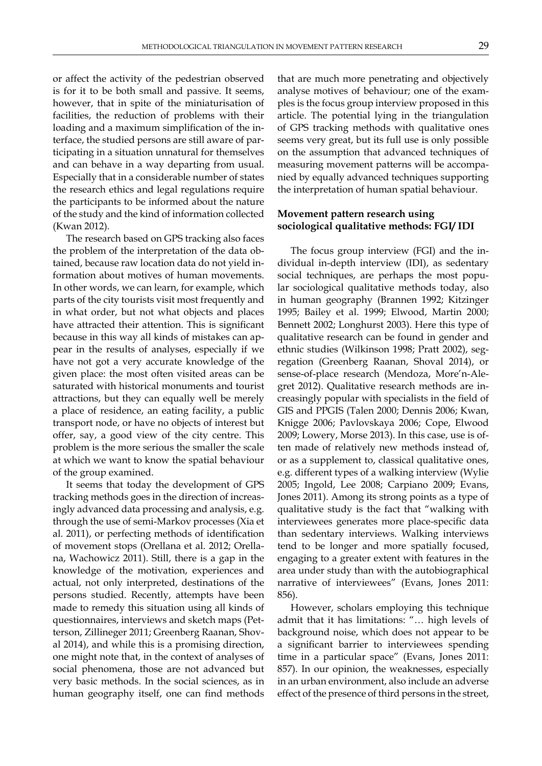or affect the activity of the pedestrian observed is for it to be both small and passive. It seems, however, that in spite of the miniaturisation of facilities, the reduction of problems with their loading and a maximum simplification of the interface, the studied persons are still aware of participating in a situation unnatural for themselves and can behave in a way departing from usual. Especially that in a considerable number of states the research ethics and legal regulations require the participants to be informed about the nature of the study and the kind of information collected (Kwan 2012).

The research based on GPS tracking also faces the problem of the interpretation of the data obtained, because raw location data do not yield information about motives of human movements. In other words, we can learn, for example, which parts of the city tourists visit most frequently and in what order, but not what objects and places have attracted their attention. This is significant because in this way all kinds of mistakes can appear in the results of analyses, especially if we have not got a very accurate knowledge of the given place: the most often visited areas can be saturated with historical monuments and tourist attractions, but they can equally well be merely a place of residence, an eating facility, a public transport node, or have no objects of interest but offer, say, a good view of the city centre. This problem is the more serious the smaller the scale at which we want to know the spatial behaviour of the group examined.

It seems that today the development of GPS tracking methods goes in the direction of increasingly advanced data processing and analysis, e.g. through the use of semi-Markov processes (Xia et al. 2011), or perfecting methods of identification of movement stops (Orellana et al. 2012; Orellana, Wachowicz 2011). Still, there is a gap in the knowledge of the motivation, experiences and actual, not only interpreted, destinations of the persons studied. Recently, attempts have been made to remedy this situation using all kinds of questionnaires, interviews and sketch maps (Petterson, Zillineger 2011; Greenberg Raanan, Shoval 2014), and while this is a promising direction, one might note that, in the context of analyses of social phenomena, those are not advanced but very basic methods. In the social sciences, as in human geography itself, one can find methods

that are much more penetrating and objectively analyse motives of behaviour; one of the examples is the focus group interview proposed in this article. The potential lying in the triangulation of GPS tracking methods with qualitative ones seems very great, but its full use is only possible on the assumption that advanced techniques of measuring movement patterns will be accompanied by equally advanced techniques supporting the interpretation of human spatial behaviour.

## **Movement pattern research using sociological qualitative methods: FGI/ IDI**

The focus group interview (FGI) and the individual in-depth interview (IDI), as sedentary social techniques, are perhaps the most popular sociological qualitative methods today, also in human geography (Brannen 1992; Kitzinger 1995; Bailey et al. 1999; Elwood, Martin 2000; Bennett 2002; Longhurst 2003). Here this type of qualitative research can be found in gender and ethnic studies (Wilkinson 1998; Pratt 2002), segregation (Greenberg Raanan, Shoval 2014), or sense-of-place research (Mendoza, More'n-Alegret 2012). Qualitative research methods are increasingly popular with specialists in the field of GIS and PPGIS (Talen 2000; Dennis 2006; Kwan, Knigge 2006; Pavlovskaya 2006; Cope, Elwood 2009; Lowery, Morse 2013). In this case, use is often made of relatively new methods instead of, or as a supplement to, classical qualitative ones, e.g. different types of a walking interview (Wylie 2005; Ingold, Lee 2008; Carpiano 2009; Evans, Jones 2011). Among its strong points as a type of qualitative study is the fact that "walking with interviewees generates more place-specific data than sedentary interviews. Walking interviews tend to be longer and more spatially focused, engaging to a greater extent with features in the area under study than with the autobiographical narrative of interviewees" (Evans, Jones 2011: 856).

However, scholars employing this technique admit that it has limitations: "… high levels of background noise, which does not appear to be a significant barrier to interviewees spending time in a particular space" (Evans, Jones 2011: 857). In our opinion, the weaknesses, especially in an urban environment, also include an adverse effect of the presence of third persons in the street,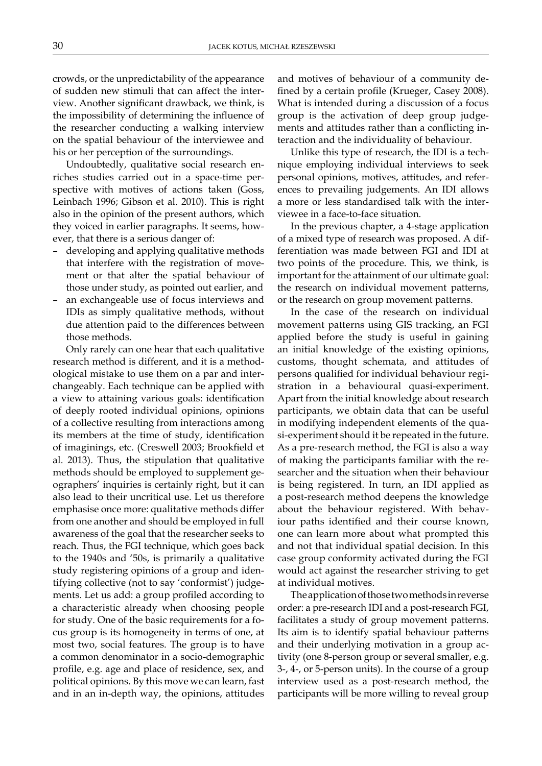crowds, or the unpredictability of the appearance of sudden new stimuli that can affect the interview. Another significant drawback, we think, is the impossibility of determining the influence of the researcher conducting a walking interview on the spatial behaviour of the interviewee and his or her perception of the surroundings.

Undoubtedly, qualitative social research enriches studies carried out in a space-time perspective with motives of actions taken (Goss, Leinbach 1996; Gibson et al. 2010). This is right also in the opinion of the present authors, which they voiced in earlier paragraphs. It seems, however, that there is a serious danger of:

- developing and applying qualitative methods that interfere with the registration of movement or that alter the spatial behaviour of those under study, as pointed out earlier, and
- an exchangeable use of focus interviews and IDIs as simply qualitative methods, without due attention paid to the differences between those methods.

Only rarely can one hear that each qualitative research method is different, and it is a methodological mistake to use them on a par and interchangeably. Each technique can be applied with a view to attaining various goals: identification of deeply rooted individual opinions, opinions of a collective resulting from interactions among its members at the time of study, identification of imaginings, etc. (Creswell 2003; Brookfield et al. 2013). Thus, the stipulation that qualitative methods should be employed to supplement geographers' inquiries is certainly right, but it can also lead to their uncritical use. Let us therefore emphasise once more: qualitative methods differ from one another and should be employed in full awareness of the goal that the researcher seeks to reach. Thus, the FGI technique, which goes back to the 1940s and '50s, is primarily a qualitative study registering opinions of a group and identifying collective (not to say 'conformist') judgements. Let us add: a group profiled according to a characteristic already when choosing people for study. One of the basic requirements for a focus group is its homogeneity in terms of one, at most two, social features. The group is to have a common denominator in a socio-demographic profile, e.g. age and place of residence, sex, and political opinions. By this move we can learn, fast and in an in-depth way, the opinions, attitudes

and motives of behaviour of a community defined by a certain profile (Krueger, Casey 2008). What is intended during a discussion of a focus group is the activation of deep group judgements and attitudes rather than a conflicting interaction and the individuality of behaviour.

Unlike this type of research, the IDI is a technique employing individual interviews to seek personal opinions, motives, attitudes, and references to prevailing judgements. An IDI allows a more or less standardised talk with the interviewee in a face-to-face situation.

In the previous chapter, a 4-stage application of a mixed type of research was proposed. A differentiation was made between FGI and IDI at two points of the procedure. This, we think, is important for the attainment of our ultimate goal: the research on individual movement patterns, or the research on group movement patterns.

In the case of the research on individual movement patterns using GIS tracking, an FGI applied before the study is useful in gaining an initial knowledge of the existing opinions, customs, thought schemata, and attitudes of persons qualified for individual behaviour registration in a behavioural quasi-experiment. Apart from the initial knowledge about research participants, we obtain data that can be useful in modifying independent elements of the quasi-experiment should it be repeated in the future. As a pre-research method, the FGI is also a way of making the participants familiar with the researcher and the situation when their behaviour is being registered. In turn, an IDI applied as a post-research method deepens the knowledge about the behaviour registered. With behaviour paths identified and their course known, one can learn more about what prompted this and not that individual spatial decision. In this case group conformity activated during the FGI would act against the researcher striving to get at individual motives.

The application of those two methods in reverse order: a pre-research IDI and a post-research FGI, facilitates a study of group movement patterns. Its aim is to identify spatial behaviour patterns and their underlying motivation in a group activity (one 8-person group or several smaller, e.g. 3-, 4-, or 5-person units). In the course of a group interview used as a post-research method, the participants will be more willing to reveal group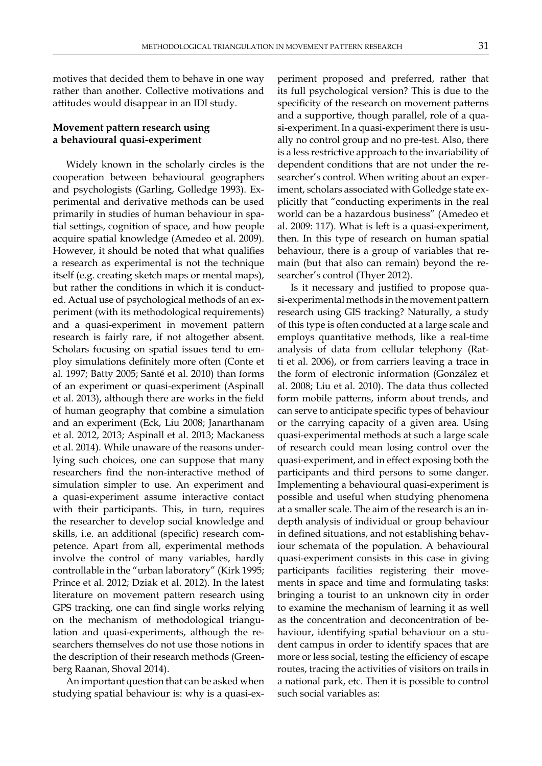motives that decided them to behave in one way rather than another. Collective motivations and attitudes would disappear in an IDI study.

## **Movement pattern research using a behavioural quasi-experiment**

Widely known in the scholarly circles is the cooperation between behavioural geographers and psychologists (Garling, Golledge 1993). Experimental and derivative methods can be used primarily in studies of human behaviour in spatial settings, cognition of space, and how people acquire spatial knowledge (Amedeo et al. 2009). However, it should be noted that what qualifies a research as experimental is not the technique itself (e.g. creating sketch maps or mental maps), but rather the conditions in which it is conducted. Actual use of psychological methods of an experiment (with its methodological requirements) and a quasi-experiment in movement pattern research is fairly rare, if not altogether absent. Scholars focusing on spatial issues tend to employ simulations definitely more often (Conte et al. 1997; Batty 2005; Santé et al. 2010) than forms of an experiment or quasi-experiment (Aspinall et al. 2013), although there are works in the field of human geography that combine a simulation and an experiment (Eck, Liu 2008; Janarthanam et al. 2012, 2013; Aspinall et al. 2013; Mackaness et al. 2014). While unaware of the reasons underlying such choices, one can suppose that many researchers find the non-interactive method of simulation simpler to use. An experiment and a quasi-experiment assume interactive contact with their participants. This, in turn, requires the researcher to develop social knowledge and skills, i.e. an additional (specific) research competence. Apart from all, experimental methods involve the control of many variables, hardly controllable in the "urban laboratory" (Kirk 1995; Prince et al. 2012; Dziak et al. 2012). In the latest literature on movement pattern research using GPS tracking, one can find single works relying on the mechanism of methodological triangulation and quasi-experiments, although the researchers themselves do not use those notions in the description of their research methods (Greenberg Raanan, Shoval 2014).

An important question that can be asked when studying spatial behaviour is: why is a quasi-ex-

periment proposed and preferred, rather that its full psychological version? This is due to the specificity of the research on movement patterns and a supportive, though parallel, role of a quasi-experiment. In a quasi-experiment there is usually no control group and no pre-test. Also, there is a less restrictive approach to the invariability of dependent conditions that are not under the researcher's control. When writing about an experiment, scholars associated with Golledge state explicitly that "conducting experiments in the real world can be a hazardous business" (Amedeo et al. 2009: 117). What is left is a quasi-experiment, then. In this type of research on human spatial behaviour, there is a group of variables that remain (but that also can remain) beyond the researcher's control (Thyer 2012).

Is it necessary and justified to propose quasi-experimental methods in the movement pattern research using GIS tracking? Naturally, a study of this type is often conducted at a large scale and employs quantitative methods, like a real-time analysis of data from cellular telephony (Ratti et al. 2006), or from carriers leaving a trace in the form of electronic information (González et al. 2008; Liu et al. 2010). The data thus collected form mobile patterns, inform about trends, and can serve to anticipate specific types of behaviour or the carrying capacity of a given area. Using quasi-experimental methods at such a large scale of research could mean losing control over the quasi-experiment, and in effect exposing both the participants and third persons to some danger. Implementing a behavioural quasi-experiment is possible and useful when studying phenomena at a smaller scale. The aim of the research is an indepth analysis of individual or group behaviour in defined situations, and not establishing behaviour schemata of the population. A behavioural quasi-experiment consists in this case in giving participants facilities registering their movements in space and time and formulating tasks: bringing a tourist to an unknown city in order to examine the mechanism of learning it as well as the concentration and deconcentration of behaviour, identifying spatial behaviour on a student campus in order to identify spaces that are more or less social, testing the efficiency of escape routes, tracing the activities of visitors on trails in a national park, etc. Then it is possible to control such social variables as: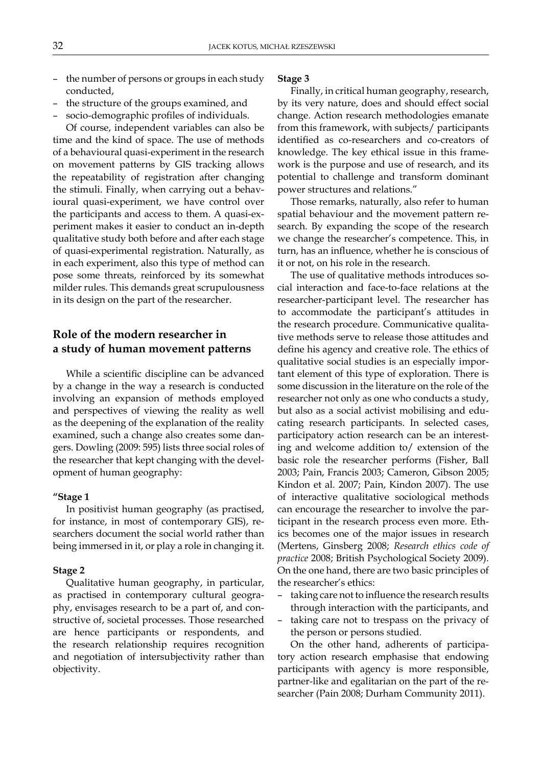- the number of persons or groups in each study conducted,
- the structure of the groups examined, and
- socio-demographic profiles of individuals.

Of course, independent variables can also be time and the kind of space. The use of methods of a behavioural quasi-experiment in the research on movement patterns by GIS tracking allows the repeatability of registration after changing the stimuli. Finally, when carrying out a behavioural quasi-experiment, we have control over the participants and access to them. A quasi-experiment makes it easier to conduct an in-depth qualitative study both before and after each stage of quasi-experimental registration. Naturally, as in each experiment, also this type of method can pose some threats, reinforced by its somewhat milder rules. This demands great scrupulousness in its design on the part of the researcher.

## **Role of the modern researcher in a study of human movement patterns**

While a scientific discipline can be advanced by a change in the way a research is conducted involving an expansion of methods employed and perspectives of viewing the reality as well as the deepening of the explanation of the reality examined, such a change also creates some dangers. Dowling (2009: 595) lists three social roles of the researcher that kept changing with the development of human geography:

#### **"Stage 1**

In positivist human geography (as practised, for instance, in most of contemporary GIS), researchers document the social world rather than being immersed in it, or play a role in changing it.

#### **Stage 2**

Qualitative human geography, in particular, as practised in contemporary cultural geography, envisages research to be a part of, and constructive of, societal processes. Those researched are hence participants or respondents, and the research relationship requires recognition and negotiation of intersubjectivity rather than objectivity.

### **Stage 3**

Finally, in critical human geography, research, by its very nature, does and should effect social change. Action research methodologies emanate from this framework, with subjects/ participants identified as co-researchers and co-creators of knowledge. The key ethical issue in this framework is the purpose and use of research, and its potential to challenge and transform dominant power structures and relations."

Those remarks, naturally, also refer to human spatial behaviour and the movement pattern research. By expanding the scope of the research we change the researcher's competence. This, in turn, has an influence, whether he is conscious of it or not, on his role in the research.

The use of qualitative methods introduces social interaction and face-to-face relations at the researcher-participant level. The researcher has to accommodate the participant's attitudes in the research procedure. Communicative qualitative methods serve to release those attitudes and define his agency and creative role. The ethics of qualitative social studies is an especially important element of this type of exploration. There is some discussion in the literature on the role of the researcher not only as one who conducts a study, but also as a social activist mobilising and educating research participants. In selected cases, participatory action research can be an interesting and welcome addition to/ extension of the basic role the researcher performs (Fisher, Ball 2003; Pain, Francis 2003; Cameron, Gibson 2005; Kindon et al. 2007; Pain, Kindon 2007). The use of interactive qualitative sociological methods can encourage the researcher to involve the participant in the research process even more. Ethics becomes one of the major issues in research (Mertens, Ginsberg 2008; *Research ethics code of practice* 2008; British Psychological Society 2009). On the one hand, there are two basic principles of the researcher's ethics:

- taking care not to influence the research results through interaction with the participants, and
- taking care not to trespass on the privacy of the person or persons studied.

On the other hand, adherents of participatory action research emphasise that endowing participants with agency is more responsible, partner-like and egalitarian on the part of the researcher (Pain 2008; Durham Community 2011).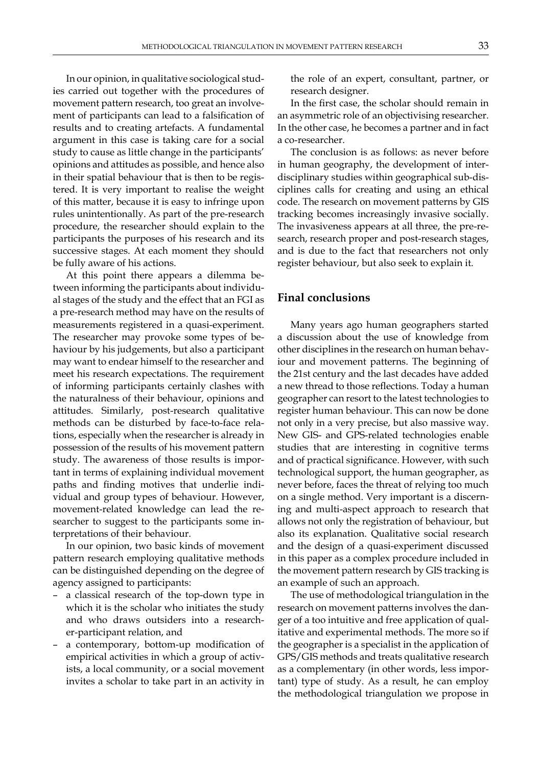In our opinion, in qualitative sociological studies carried out together with the procedures of movement pattern research, too great an involvement of participants can lead to a falsification of results and to creating artefacts. A fundamental argument in this case is taking care for a social study to cause as little change in the participants' opinions and attitudes as possible, and hence also in their spatial behaviour that is then to be registered. It is very important to realise the weight of this matter, because it is easy to infringe upon rules unintentionally. As part of the pre-research procedure, the researcher should explain to the participants the purposes of his research and its successive stages. At each moment they should be fully aware of his actions.

At this point there appears a dilemma between informing the participants about individual stages of the study and the effect that an FGI as a pre-research method may have on the results of measurements registered in a quasi-experiment. The researcher may provoke some types of behaviour by his judgements, but also a participant may want to endear himself to the researcher and meet his research expectations. The requirement of informing participants certainly clashes with the naturalness of their behaviour, opinions and attitudes. Similarly, post-research qualitative methods can be disturbed by face-to-face relations, especially when the researcher is already in possession of the results of his movement pattern study. The awareness of those results is important in terms of explaining individual movement paths and finding motives that underlie individual and group types of behaviour. However, movement-related knowledge can lead the researcher to suggest to the participants some interpretations of their behaviour.

In our opinion, two basic kinds of movement pattern research employing qualitative methods can be distinguished depending on the degree of agency assigned to participants:

- a classical research of the top-down type in which it is the scholar who initiates the study and who draws outsiders into a researcher-participant relation, and
- a contemporary, bottom-up modification of empirical activities in which a group of activists, a local community, or a social movement invites a scholar to take part in an activity in

the role of an expert, consultant, partner, or research designer.

In the first case, the scholar should remain in an asymmetric role of an objectivising researcher. In the other case, he becomes a partner and in fact a co-researcher.

The conclusion is as follows: as never before in human geography, the development of interdisciplinary studies within geographical sub-disciplines calls for creating and using an ethical code. The research on movement patterns by GIS tracking becomes increasingly invasive socially. The invasiveness appears at all three, the pre-research, research proper and post-research stages, and is due to the fact that researchers not only register behaviour, but also seek to explain it.

## **Final conclusions**

Many years ago human geographers started a discussion about the use of knowledge from other disciplines in the research on human behaviour and movement patterns. The beginning of the 21st century and the last decades have added a new thread to those reflections. Today a human geographer can resort to the latest technologies to register human behaviour. This can now be done not only in a very precise, but also massive way. New GIS- and GPS-related technologies enable studies that are interesting in cognitive terms and of practical significance. However, with such technological support, the human geographer, as never before, faces the threat of relying too much on a single method. Very important is a discerning and multi-aspect approach to research that allows not only the registration of behaviour, but also its explanation. Qualitative social research and the design of a quasi-experiment discussed in this paper as a complex procedure included in the movement pattern research by GIS tracking is an example of such an approach.

The use of methodological triangulation in the research on movement patterns involves the danger of a too intuitive and free application of qualitative and experimental methods. The more so if the geographer is a specialist in the application of GPS/GIS methods and treats qualitative research as a complementary (in other words, less important) type of study. As a result, he can employ the methodological triangulation we propose in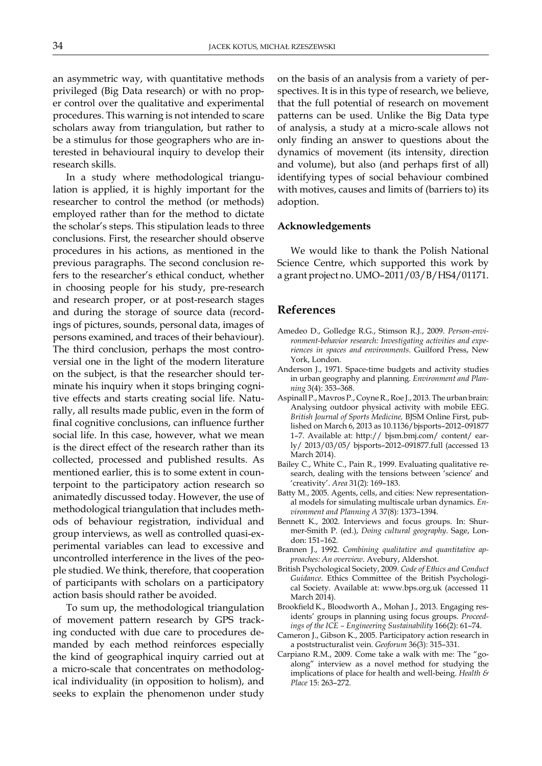an asymmetric way, with quantitative methods privileged (Big Data research) or with no proper control over the qualitative and experimental procedures. This warning is not intended to scare scholars away from triangulation, but rather to be a stimulus for those geographers who are interested in behavioural inquiry to develop their research skills.

In a study where methodological triangulation is applied, it is highly important for the researcher to control the method (or methods) employed rather than for the method to dictate the scholar's steps. This stipulation leads to three conclusions. First, the researcher should observe procedures in his actions, as mentioned in the previous paragraphs. The second conclusion refers to the researcher's ethical conduct, whether in choosing people for his study, pre-research and research proper, or at post-research stages and during the storage of source data (recordings of pictures, sounds, personal data, images of persons examined, and traces of their behaviour). The third conclusion, perhaps the most controversial one in the light of the modern literature on the subject, is that the researcher should terminate his inquiry when it stops bringing cognitive effects and starts creating social life. Naturally, all results made public, even in the form of final cognitive conclusions, can influence further social life. In this case, however, what we mean is the direct effect of the research rather than its collected, processed and published results. As mentioned earlier, this is to some extent in counterpoint to the participatory action research so animatedly discussed today. However, the use of methodological triangulation that includes methods of behaviour registration, individual and group interviews, as well as controlled quasi-experimental variables can lead to excessive and uncontrolled interference in the lives of the people studied. We think, therefore, that cooperation of participants with scholars on a participatory action basis should rather be avoided.

To sum up, the methodological triangulation of movement pattern research by GPS tracking conducted with due care to procedures demanded by each method reinforces especially the kind of geographical inquiry carried out at a micro-scale that concentrates on methodological individuality (in opposition to holism), and seeks to explain the phenomenon under study

on the basis of an analysis from a variety of perspectives. It is in this type of research, we believe, that the full potential of research on movement patterns can be used. Unlike the Big Data type of analysis, a study at a micro-scale allows not only finding an answer to questions about the dynamics of movement (its intensity, direction and volume), but also (and perhaps first of all) identifying types of social behaviour combined with motives, causes and limits of (barriers to) its adoption.

### **Acknowledgements**

We would like to thank the Polish National Science Centre, which supported this work by a grant project no. UMO–2011/03/B/HS4/01171.

## **References**

- Amedeo D., Golledge R.G., Stimson R.J., 2009. *Person-environment-behavior research: Investigating activities and experiences in spaces and environments*. Guilford Press, New York, London.
- Anderson J., 1971. Space-time budgets and activity studies in urban geography and planning. *Environment and Planning* 3(4): 353–368.
- Aspinall P., Mavros P., Coyne R., Roe J., 2013. The urban brain: Analysing outdoor physical activity with mobile EEG. *British Journal of Sports Medicine,* BJSM Online First, published on March 6, 2013 as 10.1136/bjsports–2012–091877 1–7. Available at: http:// bjsm.bmj.com/ content/ early/ 2013/03/05/ bjsports–2012–091877.full (accessed 13 March 2014).
- Bailey C., White C., Pain R., 1999. Evaluating qualitative research, dealing with the tensions between 'science' and 'creativity'. *Area* 31(2): 169–183.
- Batty M., 2005. Agents, cells, and cities: New representational models for simulating multiscale urban dynamics. *Environment and Planning A* 37(8): 1373–1394.
- Bennett K., 2002. Interviews and focus groups. In: Shurmer-Smith P. (ed.), *Doing cultural geography*. Sage, London: 151–162.
- Brannen J., 1992. *Combining qualitative and quantitative approaches: An overview*. Avebury, Aldershot.
- British Psychological Society, 2009. *Code of Ethics and Conduct Guidance*. Ethics Committee of the British Psychological Society. Available at: www.bps.org.uk (accessed 11 March 2014).
- Brookfield K., Bloodworth A., Mohan J., 2013. Engaging residents' groups in planning using focus groups. *Proceedings of the ICE – Engineering Sustainability* 166(2): 61–74.
- Cameron J., Gibson K., 2005. Participatory action research in a poststructuralist vein. *Geoforum* 36(3): 315–331.
- Carpiano R.M., 2009. Come take a walk with me: The "goalong" interview as a novel method for studying the implications of place for health and well-being. *Health & Place* 15: 263–272.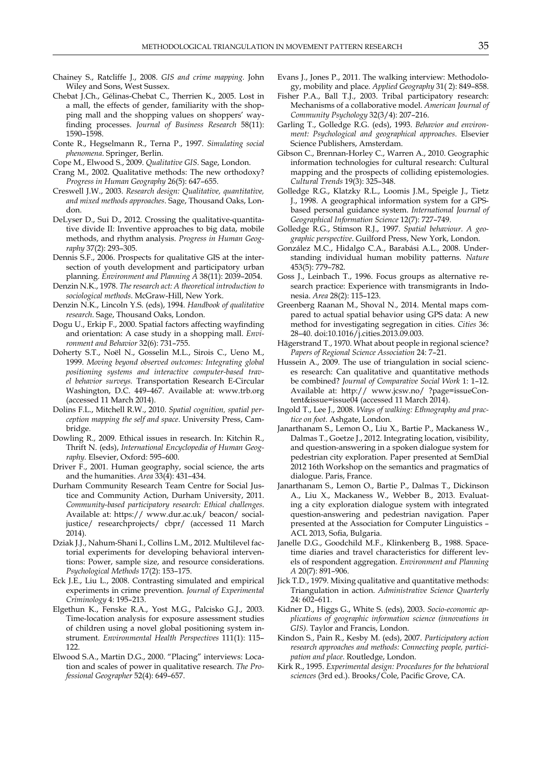- Chainey S., Ratcliffe J., 2008. *GIS and crime mapping.* John Wiley and Sons, West Sussex.
- Chebat J.Ch., Gélinas-Chebat C., Therrien K., 2005. Lost in a mall, the effects of gender, familiarity with the shopping mall and the shopping values on shoppers' wayfinding processes. *Journal of Business Research* 58(11): 1590–1598.
- Conte R., Hegselmann R., Terna P., 1997. *Simulating social phenomena*. Springer, Berlin.
- Cope M., Elwood S., 2009. *Qualitative GIS*. Sage, London.
- Crang M., 2002. Qualitative methods: The new orthodoxy? *Progress in Human Geography* 26(5): 647–655.
- Creswell J.W., 2003. *Research design: Qualitative, quantitative, and mixed methods approaches*. Sage, Thousand Oaks, London.
- DeLyser D., Sui D., 2012. Crossing the qualitative-quantitative divide II: Inventive approaches to big data, mobile methods, and rhythm analysis. *Progress in Human Geography* 37(2): 293–305.
- Dennis S.F., 2006. Prospects for qualitative GIS at the intersection of youth development and participatory urban planning. *Environment and Planning A* 38(11): 2039–2054.
- Denzin N.K., 1978. *The research act: A theoretical introduction to sociological methods*. McGraw-Hill, New York.
- Denzin N.K., Lincoln Y.S. (eds), 1994. *Handbook of qualitative research*. Sage, Thousand Oaks, London.
- Dogu U., Erkip F., 2000. Spatial factors affecting wayfinding and orientation: A case study in a shopping mall. *Environment and Behavior* 32(6): 731–755.
- Doherty S.T., Noël N., Gosselin M.L., Sirois C., Ueno M., 1999. *Moving beyond observed outcomes: Integrating global positioning systems and interactive computer-based travel behavior surveys.* Transportation Research E-Circular Washington, D.C. 449–467. Available at: www.trb.org (accessed 11 March 2014).
- Dolins F.L., Mitchell R.W., 2010. *Spatial cognition, spatial perception mapping the self and space*. University Press, Cambridge.
- Dowling R., 2009. Ethical issues in research. In: Kitchin R., Thrift N. (eds), *International Encyclopedia of Human Geography.* Elsevier, Oxford: 595–600.
- Driver F., 2001. Human geography, social science, the arts and the humanities. *Area* 33(4): 431–434.
- Durham Community Research Team Centre for Social Justice and Community Action, Durham University, 2011. *Community-based participatory research: Ethical challenges*. Available at: https:// www.dur.ac.uk/ beacon/ socialjustice/ researchprojects/ cbpr/ (accessed 11 March 2014).
- Dziak J.J., Nahum-Shani I., Collins L.M., 2012. Multilevel factorial experiments for developing behavioral interventions: Power, sample size, and resource considerations. *Psychological Methods* 17(2): 153–175.
- Eck J.E., Liu L., 2008. Contrasting simulated and empirical experiments in crime prevention. *Journal of Experimental Criminology* 4: 195–213.
- Elgethun K., Fenske R.A., Yost M.G., Palcisko G.J., 2003. Time-location analysis for exposure assessment studies of children using a novel global positioning system instrument. *Environmental Health Perspectives* 111(1): 115– 122.
- Elwood S.A., Martin D.G., 2000. "Placing" interviews: Location and scales of power in qualitative research. *The Professional Geographer* 52(4): 649–657.
- Evans J., Jones P., 2011. The walking interview: Methodology, mobility and place. *Applied Geography* 31( 2): 849–858.
- Fisher P.A., Ball T.J., 2003. Tribal participatory research: Mechanisms of a collaborative model. *American Journal of Community Psychology* 32(3/4): 207–216.
- Garling T., Golledge R.G. (eds), 1993. *Behavior and environment: Psychological and geographical approaches*. Elsevier Science Publishers, Amsterdam.
- Gibson C., Brennan-Horley C., Warren A., 2010. Geographic information technologies for cultural research: Cultural mapping and the prospects of colliding epistemologies. *Cultural Trends* 19(3): 325–348.
- Golledge R.G., Klatzky R.L., Loomis J.M., Speigle J., Tietz J., 1998. A geographical information system for a GPSbased personal guidance system. *International Journal of Geographical Information Science* 12(7): 727–749.
- Golledge R.G., Stimson R.J., 1997. *Spatial behaviour. A geographic perspective*. Guilford Press, New York, London.
- González M.C., Hidalgo C.A., Barabási A.L., 2008. Understanding individual human mobility patterns. *Nature* 453(5): 779–782.
- Goss J., Leinbach T., 1996. Focus groups as alternative research practice: Experience with transmigrants in Indonesia. *Area* 28(2): 115–123.
- Greenberg Raanan M., Shoval N., 2014. Mental maps compared to actual spatial behavior using GPS data: A new method for investigating segregation in cities. *Cities* 36: 28–40. doi:10.1016/j.cities.2013.09.003.
- Hägerstrand T., 1970. What about people in regional science? *Papers of Regional Science Association* 24: 7–21.
- Hussein A., 2009. The use of triangulation in social sciences research: Can qualitative and quantitative methods be combined? *Journal of Comparative Social Work* 1: 1–12. Available at: http:// www.jcsw.no/ ?page=issueContent&issue=issue04 (accessed 11 March 2014).
- Ingold T., Lee J., 2008. *Ways of walking: Ethnography and practice on foot*. Ashgate, London.
- Janarthanam S., Lemon O., Liu X., Bartie P., Mackaness W., Dalmas T., Goetze J., 2012. Integrating location, visibility, and question-answering in a spoken dialogue system for pedestrian city exploration. Paper presented at SemDial 2012 16th Workshop on the semantics and pragmatics of dialogue. Paris, France.
- Janarthanam S., Lemon O., Bartie P., Dalmas T., Dickinson A., Liu X., Mackaness W., Webber B., 2013. Evaluating a city exploration dialogue system with integrated question-answering and pedestrian navigation. Paper presented at the Association for Computer Linguistics – ACL 2013, Sofia, Bulgaria.
- Janelle D.G., Goodchild M.F., Klinkenberg B., 1988. Spacetime diaries and travel characteristics for different levels of respondent aggregation. *Environment and Planning A* 20(7): 891–906.
- Jick T.D., 1979. Mixing qualitative and quantitative methods: Triangulation in action. *Administrative Science Quarterly* 24: 602–611.
- Kidner D., Higgs G., White S. (eds), 2003. *Socio-economic applications of geographic information science (innovations in GIS).* Taylor and Francis, London.
- Kindon S., Pain R., Kesby M. (eds), 2007. *Participatory action research approaches and methods: Connecting people, participation and place*. Routledge, London.
- Kirk R., 1995. *Experimental design: Procedures for the behavioral sciences* (3rd ed.). Brooks/Cole, Pacific Grove, CA.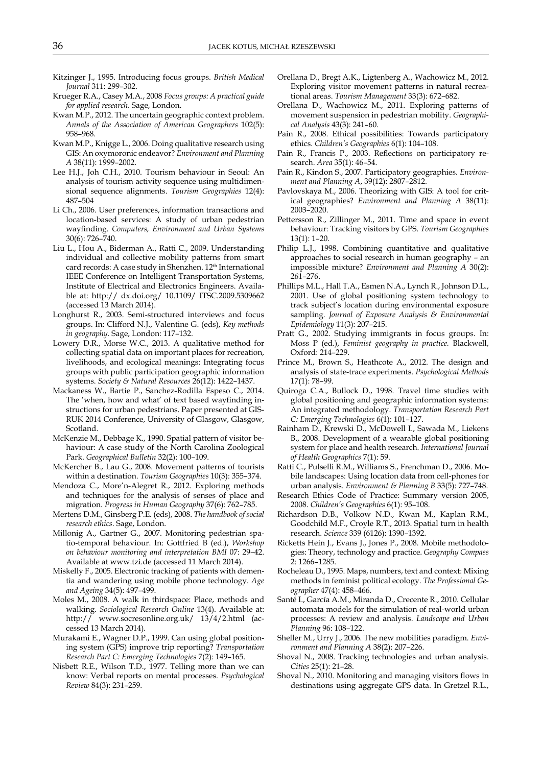- Kitzinger J., 1995. Introducing focus groups. *British Medical Journal* 311: 299–302.
- Krueger R.A., Casey M.A., 2008 *Focus groups: A practical guide for applied research*. Sage, London.
- Kwan M.P., 2012. The uncertain geographic context problem. *Annals of the Association of American Geographers* 102(5): 958–968.
- Kwan M.P., Knigge L., 2006. Doing qualitative research using GIS: An oxymoronic endeavor? *Environment and Planning A* 38(11): 1999–2002.
- Lee H.J., Joh C.H., 2010. Tourism behaviour in Seoul: An analysis of tourism activity sequence using multidimensional sequence alignments. *Tourism Geographies* 12(4): 487–504
- Li Ch., 2006. User preferences, information transactions and location-based services: A study of urban pedestrian wayfinding. *Computers, Environment and Urban Systems* 30(6): 726–740.
- Liu L., Hou A., Biderman A., Ratti C., 2009. Understanding individual and collective mobility patterns from smart card records: A case study in Shenzhen. 12<sup>th</sup> International IEEE Conference on Intelligent Transportation Systems, Institute of Electrical and Electronics Engineers. Available at: http:// dx.doi.org/ 10.1109/ ITSC.2009.5309662 (accessed 13 March 2014).
- Longhurst R., 2003. Semi-structured interviews and focus groups. In: Clifford N.J., Valentine G. (eds), *Key methods in geography.* Sage, London: 117–132.
- Lowery D.R., Morse W.C., 2013. A qualitative method for collecting spatial data on important places for recreation, livelihoods, and ecological meanings: Integrating focus groups with public participation geographic information systems. *Society & Natural Resources* 26(12): 1422–1437.
- Mackaness W., Bartie P., Sanchez-Rodilla Espeso C., 2014. The 'when, how and what' of text based wayfinding instructions for urban pedestrians. Paper presented at GIS-RUK 2014 Conference, University of Glasgow, Glasgow, Scotland.
- McKenzie M., Debbage K., 1990. Spatial pattern of visitor behaviour: A case study of the North Carolina Zoological Park. *Geographical Bulletin* 32(2): 100–109.
- McKercher B., Lau G., 2008. Movement patterns of tourists within a destination. *Tourism Geographies* 10(3): 355–374.
- Mendoza C., More'n-Alegret R., 2012. Exploring methods and techniques for the analysis of senses of place and migration. *Progress in Human Geography* 37(6): 762–785.
- Mertens D.M., Ginsberg P.E. (eds), 2008. *The handbook of social research ethics*. Sage, London.
- Millonig A., Gartner G., 2007. Monitoring pedestrian spatio-temporal behaviour. In: Gottfried B (ed.), *Workshop on behaviour monitoring and interpretation BMI* 07: 29–42. Available at www.tzi.de (accessed 11 March 2014).
- Miskelly F., 2005. Electronic tracking of patients with dementia and wandering using mobile phone technology. *Age and Ageing* 34(5): 497–499.
- Moles M., 2008. A walk in thirdspace: Place, methods and walking. *Sociological Research Online* 13(4). Available at: http:// www.socresonline.org.uk/ 13/4/2.html (accessed 13 March 2014).
- Murakami E., Wagner D.P., 1999. Can using global positioning system (GPS) improve trip reporting? *Transportation Research Part C: Emerging Technologies* 7(2): 149–165.
- Nisbett R.E., Wilson T.D., 1977. Telling more than we can know: Verbal reports on mental processes. *Psychological Review* 84(3): 231–259.
- Orellana D., Bregt A.K., Ligtenberg A., Wachowicz M., 2012. Exploring visitor movement patterns in natural recreational areas. *Tourism Management* 33(3): 672–682.
- Orellana D., Wachowicz M., 2011. Exploring patterns of movement suspension in pedestrian mobility. *Geographical Analysis* 43(3): 241–60.
- Pain R., 2008. Ethical possibilities: Towards participatory ethics. *Children's Geographies* 6(1): 104–108.
- Pain R., Francis P., 2003. Reflections on participatory research. *Area* 35(1): 46–54.
- Pain R., Kindon S., 2007. Participatory geographies. *Environment and Planning A*, 39(12): 2807–2812.
- Pavlovskaya M., 2006. Theorizing with GIS: A tool for critical geographies? *Environment and Planning A* 38(11): 2003–2020.
- Pettersson R., Zillinger M., 2011. Time and space in event behaviour: Tracking visitors by GPS. *Tourism Geographies*  13(1): 1–20.
- Philip L.J., 1998. Combining quantitative and qualitative approaches to social research in human geography – an impossible mixture? *Environment and Planning A* 30(2): 261–276.
- Phillips M.L., Hall T.A., Esmen N.A., Lynch R., Johnson D.L., 2001. Use of global positioning system technology to track subject's location during environmental exposure sampling. *Journal of Exposure Analysis & Environmental Epidemiology* 11(3): 207–215.
- Pratt G., 2002. Studying immigrants in focus groups. In: Moss P (ed.), *Feminist geography in practice.* Blackwell, Oxford: 214–229.
- Prince M., Brown S., Heathcote A., 2012. The design and analysis of state-trace experiments. *Psychological Methods* 17(1): 78–99.
- Quiroga C.A., Bullock D., 1998. Travel time studies with global positioning and geographic information systems: An integrated methodology. *Transportation Research Part C: Emerging Technologies* 6(1): 101–127.
- Rainham D., Krewski D., McDowell I., Sawada M., Liekens B., 2008. Development of a wearable global positioning system for place and health research. *International Journal of Health Geographics* 7(1): 59.
- Ratti C., Pulselli R.M., Williams S., Frenchman D., 2006. Mobile landscapes: Using location data from cell-phones for urban analysis. *Environment & Planning B* 33(5): 727–748.
- Research Ethics Code of Practice: Summary version 2005, 2008. *Children's Geographies* 6(1): 95–108.
- Richardson D.B., Volkow N.D., Kwan M., Kaplan R.M., Goodchild M.F., Croyle R.T., 2013. Spatial turn in health research. *Science* 339 (6126): 1390–1392.
- Ricketts Hein J., Evans J., Jones P., 2008. Mobile methodologies: Theory, technology and practice. *Geography Compass*  2: 1266–1285.
- Rocheleau D., 1995. Maps, numbers, text and context: Mixing methods in feminist political ecology. *The Professional Geographer* 47(4): 458–466.
- Santé I., García A.M., Miranda D., Crecente R., 2010. Cellular automata models for the simulation of real-world urban processes: A review and analysis. *Landscape and Urban Planning* 96: 108–122.
- Sheller M., Urry J., 2006. The new mobilities paradigm. *Environment and Planning A* 38(2): 207–226.
- Shoval N., 2008. Tracking technologies and urban analysis. *Cities* 25(1): 21–28.
- Shoval N., 2010. Monitoring and managing visitors flows in destinations using aggregate GPS data. In Gretzel R.L.,